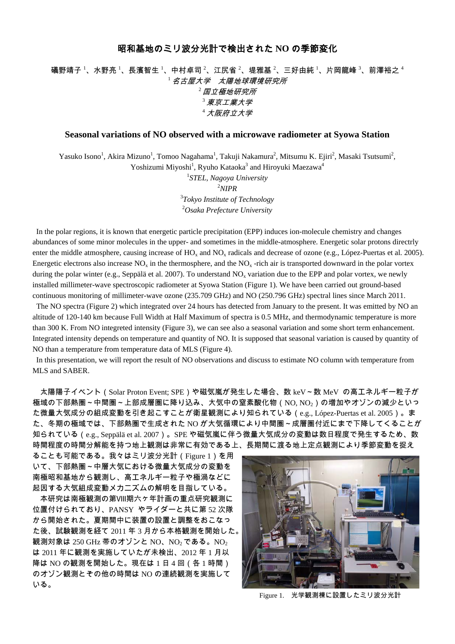## 昭和基地のミリ波分光計で検出された **NO** の季節変化

## 礒野靖子  $^1$ 、水野亮  $^1$ 、長濱智生  $^1$ 、中村卓司  $^2$ 、江尻省  $^2$ 、堤雅基  $^2$ 、三好由純  $^1$ 、片岡龍峰  $^3$ 、前澤裕之  $^4$  $^{-1}$ 名古屋大学 太陽地球環境研究所 <sup>2</sup>国立極地研究所  $^3$  東京工業大学 <sup>4</sup>大阪府立大学

## **Seasonal variations of NO observed with a microwave radiometer at Syowa Station**

Yasuko Isono<sup>1</sup>, Akira Mizuno<sup>1</sup>, Tomoo Nagahama<sup>1</sup>, Takuji Nakamura<sup>2</sup>, Mitsumu K. Ejiri<sup>2</sup>, Masaki Tsutsumi<sup>2</sup>, Yoshizumi Miyoshi<sup>1</sup>, Ryuho Kataoka<sup>3</sup> and Hiroyuki Maezawa<sup>4</sup>

> *STEL, Nagoya University* 2 *NIPR Tokyo Institute of Technology Osaka Prefecture University*

In the polar regions, it is known that energetic particle precipitation (EPP) induces ion-molecule chemistry and changes abundances of some minor molecules in the upper- and sometimes in the middle-atmosphere. Energetic solar protons directrly enter the middle atmosphere, causing increase of  $HO_x$  and  $NO_x$  radicals and decrease of ozone (e.g., López-Puertas et al. 2005). Energetic electrons also increase  $NO<sub>x</sub>$  in the thermosphere, and the  $NO<sub>x</sub>$  -rich air is transported downward in the polar vortex during the polar winter (e.g., Seppälä et al. 2007). To understand  $NO<sub>x</sub>$  variation due to the EPP and polar vortex, we newly installed millimeter-wave spectroscopic radiometer at Syowa Station (Figure 1). We have been carried out ground-based continuous monitoring of millimeter-wave ozone (235.709 GHz) and NO (250.796 GHz) spectral lines since March 2011.

 The NO spectra (Figure 2) which integrated over 24 hours has detected from January to the present. It was emitted by NO an altitude of 120-140 km because Full Width at Half Maximum of spectra is 0.5 MHz, and thermodynamic temperature is more than 300 K. From NO integreted intensity (Figure 3), we can see also a seasonal variation and some short term enhancement. Integrated intensity depends on temperature and quantity of NO. It is supposed that seasonal variation is caused by quantity of NO than a temperature from temperature data of MLS (Figure 4).

In this presentation, we will report the result of NO observations and discuss to estimate NO column with temperature from MLS and SABER.

太陽陽子イベント(Solar Proton Event; SPE)や磁気嵐が発生した場合、数 keV~数 MeV の高エネルギー粒子が 極域の下部熱圏~中間圏~上部成層圏に降り込み、大気中の窒素酸化物(NO, NO<sub>2</sub>)の増加やオゾンの減少といっ た微量大気成分の組成変動を引き起こすことが衛星観測により知られている(e.g., López-Puertas et al. 2005)。ま た、冬期の極域では、下部熱圏で生成された NO が大気循環により中間圏~成層圏付近にまで下降してくることが 知られている(e.g., Seppälä et al. 2007)。SPE や磁気嵐に伴う微量大気成分の変動は数日程度で発生するため、数 時間程度の時間分解能を持つ地上観測は非常に有効である上、長期間に渡る地上定点観測により季節変動を捉え

ることも可能である。我々はミリ波分光計(Figure 1)を用 いて、下部熱圏~中層大気における微量大気成分の変動を 南極昭和基地から観測し、高エネルギー粒子や極渦などに 起因する大気組成変動メカニズムの解明を目指している。

 本研究は南極観測の第Ⅷ期六ヶ年計画の重点研究観測に 位置付けられており、PANSY やライダーと共に第 52 次隊 から開始された。夏期間中に装置の設置と調整をおこなっ た後、試験観測を経て 2011 年 3 月から本格観測を開始した。 観測対象は 250 GHz 帯のオゾンと NO、NO<sub>2</sub>である。NO<sub>2</sub> は 2011 年に観測を実施していたが未検出、2012 年 1 月以 降は NO の観測を開始した。現在は 1 日 4 回 (各 1 時間) のオゾン観測とその他の時間は NO の連続観測を実施して いる。



Figure 1. 光学観測棟に設置したミリ波分光計